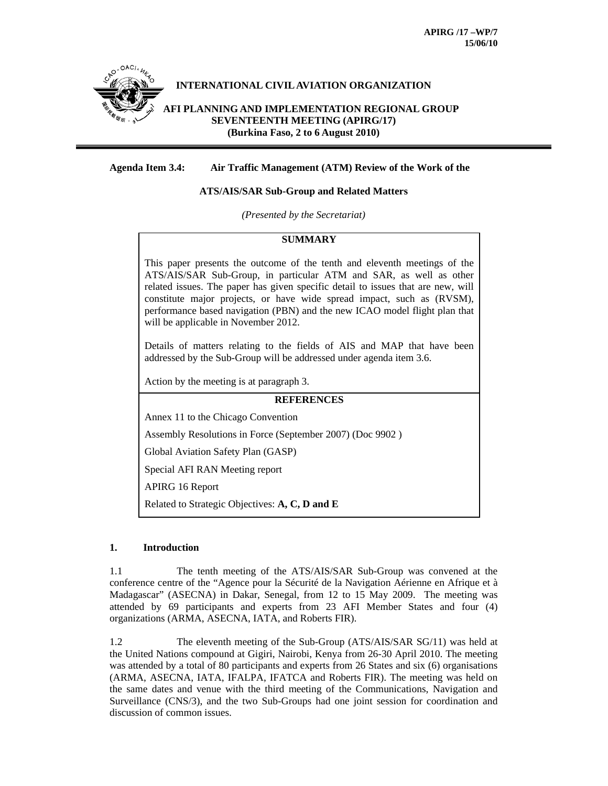

# **Agenda Item 3.4: Air Traffic Management (ATM) Review of the Work of the**

# **ATS/AIS/SAR Sub-Group and Related Matters**

*(Presented by the Secretariat)* 

# **SUMMARY**

This paper presents the outcome of the tenth and eleventh meetings of the ATS/AIS/SAR Sub-Group, in particular ATM and SAR, as well as other related issues. The paper has given specific detail to issues that are new, will constitute major projects, or have wide spread impact, such as (RVSM), performance based navigation (PBN) and the new ICAO model flight plan that will be applicable in November 2012.

Details of matters relating to the fields of AIS and MAP that have been addressed by the Sub-Group will be addressed under agenda item 3.6.

Action by the meeting is at paragraph 3.

#### **REFERENCES**

Annex 11 to the Chicago Convention

Assembly Resolutions in Force (September 2007) (Doc 9902 )

Global Aviation Safety Plan (GASP)

Special AFI RAN Meeting report

APIRG 16 Report

Related to Strategic Objectives: **A, C, D and E**

### **1. Introduction**

1.1 The tenth meeting of the ATS/AIS/SAR Sub-Group was convened at the conference centre of the "Agence pour la Sécurité de la Navigation Aérienne en Afrique et à Madagascar" (ASECNA) in Dakar, Senegal, from 12 to 15 May 2009. The meeting was attended by 69 participants and experts from 23 AFI Member States and four (4) organizations (ARMA, ASECNA, IATA, and Roberts FIR).

1.2 The eleventh meeting of the Sub-Group (ATS/AIS/SAR SG/11) was held at the United Nations compound at Gigiri, Nairobi, Kenya from 26-30 April 2010. The meeting was attended by a total of 80 participants and experts from 26 States and six (6) organisations (ARMA, ASECNA, IATA, IFALPA, IFATCA and Roberts FIR). The meeting was held on the same dates and venue with the third meeting of the Communications, Navigation and Surveillance (CNS/3), and the two Sub-Groups had one joint session for coordination and discussion of common issues.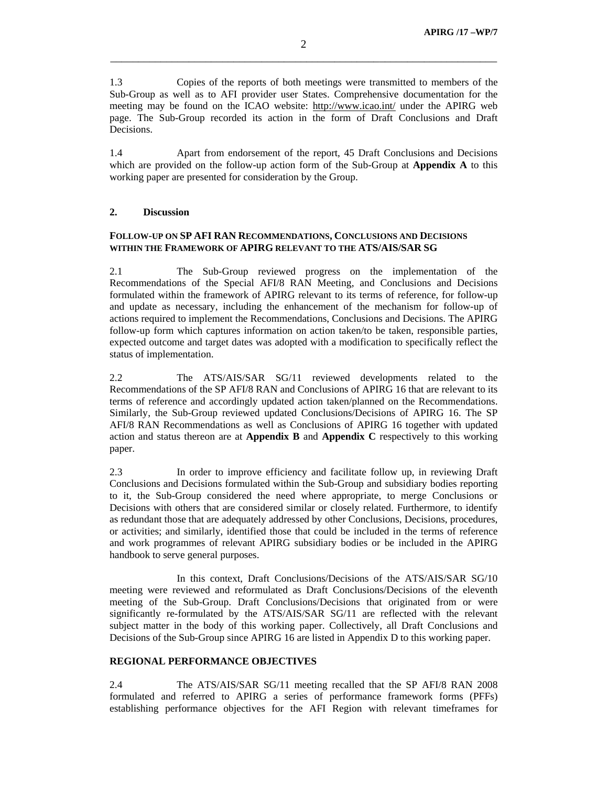1.3 Copies of the reports of both meetings were transmitted to members of the Sub-Group as well as to AFI provider user States. Comprehensive documentation for the meeting may be found on the ICAO website: http://www.icao.int/ under the APIRG web page. The Sub-Group recorded its action in the form of Draft Conclusions and Draft Decisions.

1.4 Apart from endorsement of the report, 45 Draft Conclusions and Decisions which are provided on the follow-up action form of the Sub-Group at **Appendix A** to this working paper are presented for consideration by the Group.

#### **2. Discussion**

# **FOLLOW-UP ON SP AFI RAN RECOMMENDATIONS, CONCLUSIONS AND DECISIONS WITHIN THE FRAMEWORK OF APIRG RELEVANT TO THE ATS/AIS/SAR SG**

2.1 The Sub-Group reviewed progress on the implementation of the Recommendations of the Special AFI/8 RAN Meeting, and Conclusions and Decisions formulated within the framework of APIRG relevant to its terms of reference, for follow-up and update as necessary, including the enhancement of the mechanism for follow-up of actions required to implement the Recommendations, Conclusions and Decisions. The APIRG follow-up form which captures information on action taken/to be taken, responsible parties, expected outcome and target dates was adopted with a modification to specifically reflect the status of implementation.

2.2 The ATS/AIS/SAR SG/11 reviewed developments related to the Recommendations of the SP AFI/8 RAN and Conclusions of APIRG 16 that are relevant to its terms of reference and accordingly updated action taken/planned on the Recommendations. Similarly, the Sub-Group reviewed updated Conclusions/Decisions of APIRG 16. The SP AFI/8 RAN Recommendations as well as Conclusions of APIRG 16 together with updated action and status thereon are at **Appendix B** and **Appendix C** respectively to this working paper.

2.3 In order to improve efficiency and facilitate follow up, in reviewing Draft Conclusions and Decisions formulated within the Sub-Group and subsidiary bodies reporting to it, the Sub-Group considered the need where appropriate, to merge Conclusions or Decisions with others that are considered similar or closely related. Furthermore, to identify as redundant those that are adequately addressed by other Conclusions, Decisions, procedures, or activities; and similarly, identified those that could be included in the terms of reference and work programmes of relevant APIRG subsidiary bodies or be included in the APIRG handbook to serve general purposes.

 In this context, Draft Conclusions/Decisions of the ATS/AIS/SAR SG/10 meeting were reviewed and reformulated as Draft Conclusions/Decisions of the eleventh meeting of the Sub-Group. Draft Conclusions/Decisions that originated from or were significantly re-formulated by the ATS/AIS/SAR SG/11 are reflected with the relevant subject matter in the body of this working paper. Collectively, all Draft Conclusions and Decisions of the Sub-Group since APIRG 16 are listed in Appendix D to this working paper.

## **REGIONAL PERFORMANCE OBJECTIVES**

2.4 The ATS/AIS/SAR SG/11 meeting recalled that the SP AFI/8 RAN 2008 formulated and referred to APIRG a series of performance framework forms (PFFs) establishing performance objectives for the AFI Region with relevant timeframes for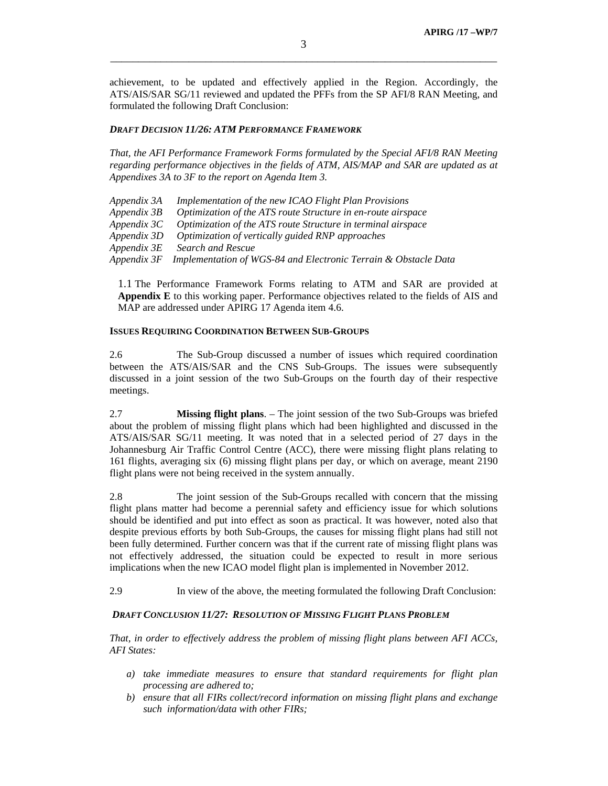achievement, to be updated and effectively applied in the Region. Accordingly, the ATS/AIS/SAR SG/11 reviewed and updated the PFFs from the SP AFI/8 RAN Meeting, and formulated the following Draft Conclusion:

### *DRAFT DECISION 11/26: ATM PERFORMANCE FRAMEWORK*

*That, the AFI Performance Framework Forms formulated by the Special AFI/8 RAN Meeting regarding performance objectives in the fields of ATM, AIS/MAP and SAR are updated as at Appendixes 3A to 3F to the report on Agenda Item 3.* 

| Appendix 3A | Implementation of the new ICAO Flight Plan Provisions           |
|-------------|-----------------------------------------------------------------|
| Appendix 3B | Optimization of the ATS route Structure in en-route airspace    |
| Appendix 3C | Optimization of the ATS route Structure in terminal airspace    |
| Appendix 3D | Optimization of vertically guided RNP approaches                |
| Appendix 3E | Search and Rescue                                               |
| Appendix 3F | Implementation of WGS-84 and Electronic Terrain & Obstacle Data |

1.1 The Performance Framework Forms relating to ATM and SAR are provided at **Appendix E** to this working paper. Performance objectives related to the fields of AIS and MAP are addressed under APIRG 17 Agenda item 4.6.

#### **ISSUES REQUIRING COORDINATION BETWEEN SUB-GROUPS**

2.6 The Sub-Group discussed a number of issues which required coordination between the ATS/AIS/SAR and the CNS Sub-Groups. The issues were subsequently discussed in a joint session of the two Sub-Groups on the fourth day of their respective meetings.

2.7 **Missing flight plans**. – The joint session of the two Sub-Groups was briefed about the problem of missing flight plans which had been highlighted and discussed in the ATS/AIS/SAR SG/11 meeting. It was noted that in a selected period of 27 days in the Johannesburg Air Traffic Control Centre (ACC), there were missing flight plans relating to 161 flights, averaging six (6) missing flight plans per day, or which on average, meant 2190 flight plans were not being received in the system annually.

2.8 The joint session of the Sub-Groups recalled with concern that the missing flight plans matter had become a perennial safety and efficiency issue for which solutions should be identified and put into effect as soon as practical. It was however, noted also that despite previous efforts by both Sub-Groups, the causes for missing flight plans had still not been fully determined. Further concern was that if the current rate of missing flight plans was not effectively addressed, the situation could be expected to result in more serious implications when the new ICAO model flight plan is implemented in November 2012.

2.9 In view of the above, the meeting formulated the following Draft Conclusion:

### *DRAFT CONCLUSION 11/27: RESOLUTION OF MISSING FLIGHT PLANS PROBLEM*

*That, in order to effectively address the problem of missing flight plans between AFI ACCs, AFI States:* 

- *a) take immediate measures to ensure that standard requirements for flight plan processing are adhered to;*
- *b) ensure that all FIRs collect/record information on missing flight plans and exchange such information/data with other FIRs;*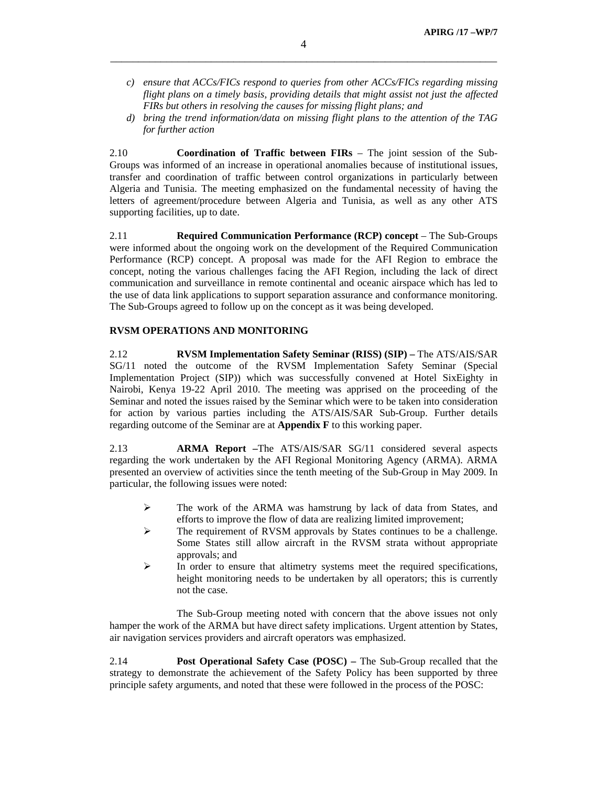- *c) ensure that ACCs/FICs respond to queries from other ACCs/FICs regarding missing flight plans on a timely basis, providing details that might assist not just the affected FIRs but others in resolving the causes for missing flight plans; and*
- *d) bring the trend information/data on missing flight plans to the attention of the TAG for further action*

2.10 **Coordination of Traffic between FIRs** – The joint session of the Sub-Groups was informed of an increase in operational anomalies because of institutional issues, transfer and coordination of traffic between control organizations in particularly between Algeria and Tunisia. The meeting emphasized on the fundamental necessity of having the letters of agreement/procedure between Algeria and Tunisia, as well as any other ATS supporting facilities, up to date.

2.11 **Required Communication Performance (RCP) concept** – The Sub-Groups were informed about the ongoing work on the development of the Required Communication Performance (RCP) concept. A proposal was made for the AFI Region to embrace the concept, noting the various challenges facing the AFI Region, including the lack of direct communication and surveillance in remote continental and oceanic airspace which has led to the use of data link applications to support separation assurance and conformance monitoring. The Sub-Groups agreed to follow up on the concept as it was being developed.

# **RVSM OPERATIONS AND MONITORING**

2.12 **RVSM Implementation Safety Seminar (RISS) (SIP) –** The ATS/AIS/SAR SG/11 noted the outcome of the RVSM Implementation Safety Seminar (Special Implementation Project (SIP)) which was successfully convened at Hotel SixEighty in Nairobi, Kenya 19-22 April 2010. The meeting was apprised on the proceeding of the Seminar and noted the issues raised by the Seminar which were to be taken into consideration for action by various parties including the ATS/AIS/SAR Sub-Group. Further details regarding outcome of the Seminar are at **Appendix F** to this working paper.

2.13 **ARMA Report –**The ATS/AIS/SAR SG/11 considered several aspects regarding the work undertaken by the AFI Regional Monitoring Agency (ARMA). ARMA presented an overview of activities since the tenth meeting of the Sub-Group in May 2009. In particular, the following issues were noted:

- ¾ The work of the ARMA was hamstrung by lack of data from States, and efforts to improve the flow of data are realizing limited improvement;
- $\triangleright$  The requirement of RVSM approvals by States continues to be a challenge. Some States still allow aircraft in the RVSM strata without appropriate approvals; and
- ¾ In order to ensure that altimetry systems meet the required specifications, height monitoring needs to be undertaken by all operators; this is currently not the case.

 The Sub-Group meeting noted with concern that the above issues not only hamper the work of the ARMA but have direct safety implications. Urgent attention by States, air navigation services providers and aircraft operators was emphasized.

2.14 **Post Operational Safety Case (POSC) –** The Sub-Group recalled that the strategy to demonstrate the achievement of the Safety Policy has been supported by three principle safety arguments, and noted that these were followed in the process of the POSC: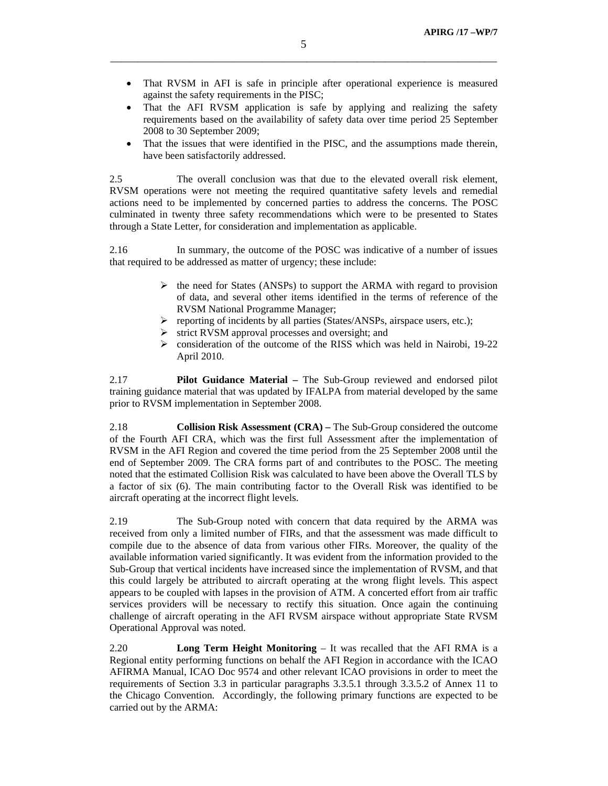- That RVSM in AFI is safe in principle after operational experience is measured against the safety requirements in the PISC;
- That the AFI RVSM application is safe by applying and realizing the safety requirements based on the availability of safety data over time period 25 September 2008 to 30 September 2009;
- That the issues that were identified in the PISC, and the assumptions made therein, have been satisfactorily addressed.

2.5 The overall conclusion was that due to the elevated overall risk element, RVSM operations were not meeting the required quantitative safety levels and remedial actions need to be implemented by concerned parties to address the concerns. The POSC culminated in twenty three safety recommendations which were to be presented to States through a State Letter, for consideration and implementation as applicable.

2.16 In summary, the outcome of the POSC was indicative of a number of issues that required to be addressed as matter of urgency; these include:

- $\triangleright$  the need for States (ANSPs) to support the ARMA with regard to provision of data, and several other items identified in the terms of reference of the RVSM National Programme Manager;
- $\triangleright$  reporting of incidents by all parties (States/ANSPs, airspace users, etc.);
- strict RVSM approval processes and oversight; and
- ¾ consideration of the outcome of the RISS which was held in Nairobi, 19-22 April 2010.

2.17 **Pilot Guidance Material –** The Sub-Group reviewed and endorsed pilot training guidance material that was updated by IFALPA from material developed by the same prior to RVSM implementation in September 2008.

2.18 **Collision Risk Assessment (CRA) –** The Sub-Group considered the outcome of the Fourth AFI CRA, which was the first full Assessment after the implementation of RVSM in the AFI Region and covered the time period from the 25 September 2008 until the end of September 2009. The CRA forms part of and contributes to the POSC. The meeting noted that the estimated Collision Risk was calculated to have been above the Overall TLS by a factor of six (6). The main contributing factor to the Overall Risk was identified to be aircraft operating at the incorrect flight levels.

2.19 The Sub-Group noted with concern that data required by the ARMA was received from only a limited number of FIRs, and that the assessment was made difficult to compile due to the absence of data from various other FIRs. Moreover, the quality of the available information varied significantly. It was evident from the information provided to the Sub-Group that vertical incidents have increased since the implementation of RVSM, and that this could largely be attributed to aircraft operating at the wrong flight levels. This aspect appears to be coupled with lapses in the provision of ATM. A concerted effort from air traffic services providers will be necessary to rectify this situation. Once again the continuing challenge of aircraft operating in the AFI RVSM airspace without appropriate State RVSM Operational Approval was noted.

2.20 **Long Term Height Monitoring** – It was recalled that the AFI RMA is a Regional entity performing functions on behalf the AFI Region in accordance with the ICAO AFIRMA Manual, ICAO Doc 9574 and other relevant ICAO provisions in order to meet the requirements of Section 3.3 in particular paragraphs 3.3.5.1 through 3.3.5.2 of Annex 11 to the Chicago Convention. Accordingly, the following primary functions are expected to be carried out by the ARMA: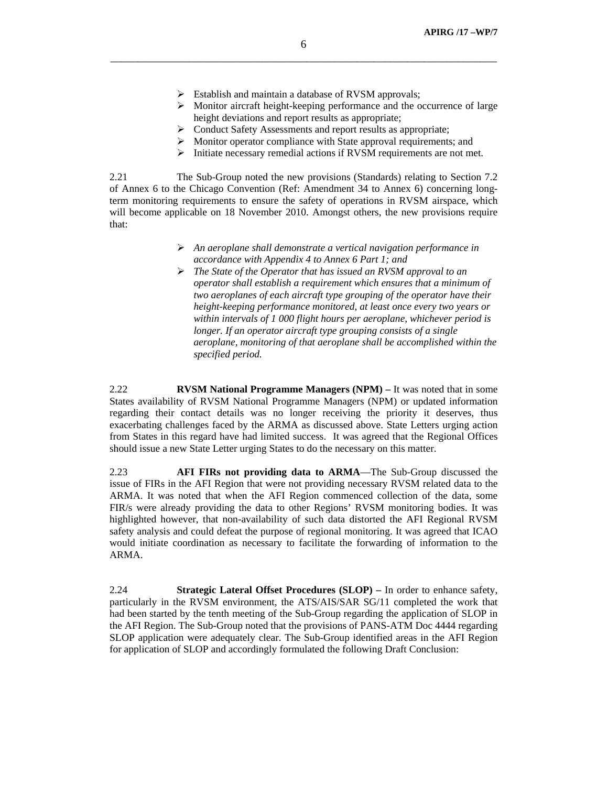- $\triangleright$  Establish and maintain a database of RVSM approvals;
- ¾ Monitor aircraft height-keeping performance and the occurrence of large height deviations and report results as appropriate;
- $\triangleright$  Conduct Safety Assessments and report results as appropriate;
- ¾ Monitor operator compliance with State approval requirements; and
- ¾ Initiate necessary remedial actions if RVSM requirements are not met.

2.21 The Sub-Group noted the new provisions (Standards) relating to Section 7.2 of Annex 6 to the Chicago Convention (Ref: Amendment 34 to Annex 6) concerning longterm monitoring requirements to ensure the safety of operations in RVSM airspace, which will become applicable on 18 November 2010. Amongst others, the new provisions require that:

- ¾ *An aeroplane shall demonstrate a vertical navigation performance in accordance with Appendix 4 to Annex 6 Part 1; and*
- ¾ *The State of the Operator that has issued an RVSM approval to an operator shall establish a requirement which ensures that a minimum of two aeroplanes of each aircraft type grouping of the operator have their height-keeping performance monitored, at least once every two years or within intervals of 1 000 flight hours per aeroplane, whichever period is longer. If an operator aircraft type grouping consists of a single aeroplane, monitoring of that aeroplane shall be accomplished within the specified period.*

2.22 **RVSM National Programme Managers (NPM) –** It was noted that in some States availability of RVSM National Programme Managers (NPM) or updated information regarding their contact details was no longer receiving the priority it deserves, thus exacerbating challenges faced by the ARMA as discussed above. State Letters urging action from States in this regard have had limited success. It was agreed that the Regional Offices should issue a new State Letter urging States to do the necessary on this matter.

2.23 **AFI FIRs not providing data to ARMA**—The Sub-Group discussed the issue of FIRs in the AFI Region that were not providing necessary RVSM related data to the ARMA. It was noted that when the AFI Region commenced collection of the data, some FIR/s were already providing the data to other Regions' RVSM monitoring bodies. It was highlighted however, that non-availability of such data distorted the AFI Regional RVSM safety analysis and could defeat the purpose of regional monitoring. It was agreed that ICAO would initiate coordination as necessary to facilitate the forwarding of information to the ARMA.

2.24 **Strategic Lateral Offset Procedures (SLOP) –** In order to enhance safety, particularly in the RVSM environment, the ATS/AIS/SAR SG/11 completed the work that had been started by the tenth meeting of the Sub-Group regarding the application of SLOP in the AFI Region. The Sub-Group noted that the provisions of PANS-ATM Doc 4444 regarding SLOP application were adequately clear. The Sub-Group identified areas in the AFI Region for application of SLOP and accordingly formulated the following Draft Conclusion: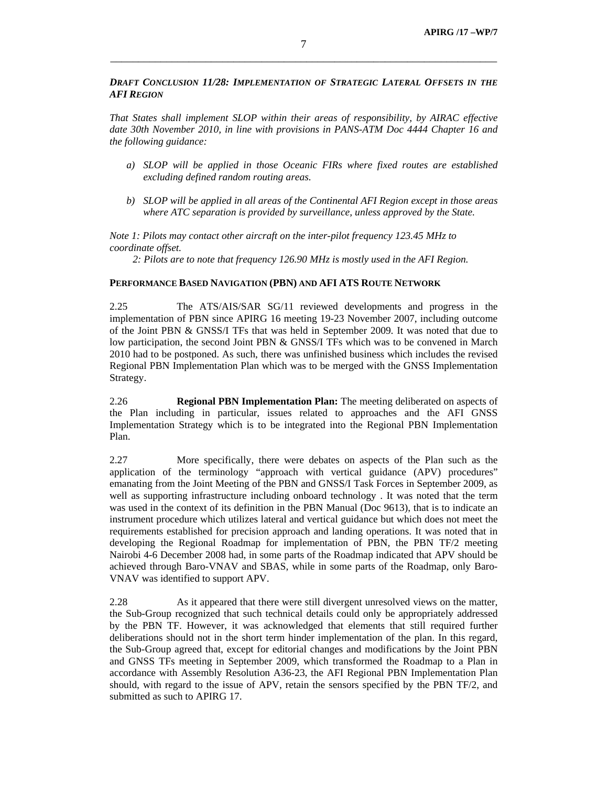*DRAFT CONCLUSION 11/28: IMPLEMENTATION OF STRATEGIC LATERAL OFFSETS IN THE AFI REGION* 

*That States shall implement SLOP within their areas of responsibility, by AIRAC effective*  date 30th November 2010, in line with provisions in PANS-ATM Doc 4444 Chapter 16 and *the following guidance:* 

- *a) SLOP will be applied in those Oceanic FIRs where fixed routes are established excluding defined random routing areas.*
- *b) SLOP will be applied in all areas of the Continental AFI Region except in those areas where ATC separation is provided by surveillance, unless approved by the State.*

*Note 1: Pilots may contact other aircraft on the inter-pilot frequency 123.45 MHz to coordinate offset.* 

 *2: Pilots are to note that frequency 126.90 MHz is mostly used in the AFI Region.* 

#### **PERFORMANCE BASED NAVIGATION (PBN) AND AFI ATS ROUTE NETWORK**

2.25 The ATS/AIS/SAR SG/11 reviewed developments and progress in the implementation of PBN since APIRG 16 meeting 19-23 November 2007, including outcome of the Joint PBN & GNSS/I TFs that was held in September 2009. It was noted that due to low participation, the second Joint PBN & GNSS/I TFs which was to be convened in March 2010 had to be postponed. As such, there was unfinished business which includes the revised Regional PBN Implementation Plan which was to be merged with the GNSS Implementation Strategy.

2.26 **Regional PBN Implementation Plan:** The meeting deliberated on aspects of the Plan including in particular, issues related to approaches and the AFI GNSS Implementation Strategy which is to be integrated into the Regional PBN Implementation Plan.

2.27 More specifically, there were debates on aspects of the Plan such as the application of the terminology "approach with vertical guidance (APV) procedures" emanating from the Joint Meeting of the PBN and GNSS/I Task Forces in September 2009, as well as supporting infrastructure including onboard technology . It was noted that the term was used in the context of its definition in the PBN Manual (Doc 9613), that is to indicate an instrument procedure which utilizes lateral and vertical guidance but which does not meet the requirements established for precision approach and landing operations. It was noted that in developing the Regional Roadmap for implementation of PBN, the PBN TF/2 meeting Nairobi 4-6 December 2008 had, in some parts of the Roadmap indicated that APV should be achieved through Baro-VNAV and SBAS, while in some parts of the Roadmap, only Baro-VNAV was identified to support APV.

2.28 As it appeared that there were still divergent unresolved views on the matter, the Sub-Group recognized that such technical details could only be appropriately addressed by the PBN TF. However, it was acknowledged that elements that still required further deliberations should not in the short term hinder implementation of the plan. In this regard, the Sub-Group agreed that, except for editorial changes and modifications by the Joint PBN and GNSS TFs meeting in September 2009, which transformed the Roadmap to a Plan in accordance with Assembly Resolution A36-23, the AFI Regional PBN Implementation Plan should, with regard to the issue of APV, retain the sensors specified by the PBN TF/2, and submitted as such to APIRG 17.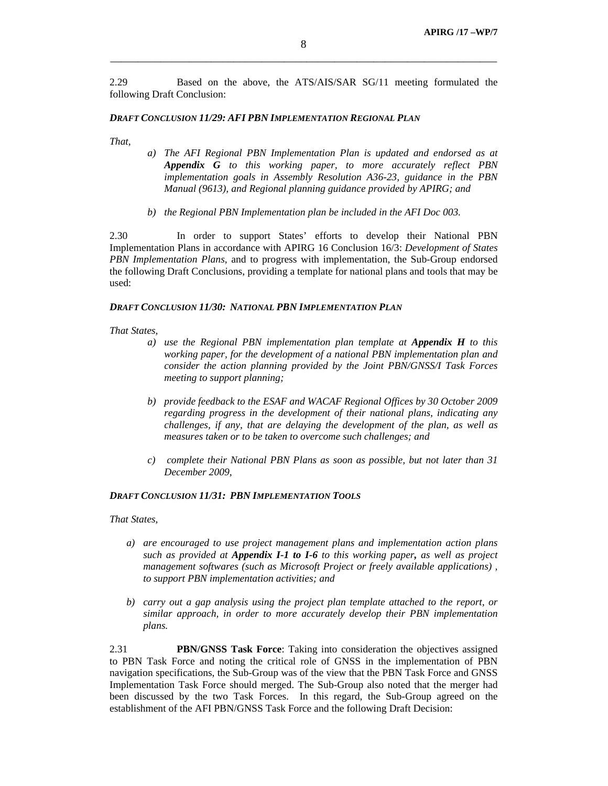2.29 Based on the above, the ATS/AIS/SAR SG/11 meeting formulated the following Draft Conclusion:

#### *DRAFT CONCLUSION 11/29: AFI PBN IMPLEMENTATION REGIONAL PLAN*

*That,* 

- *a) The AFI Regional PBN Implementation Plan is updated and endorsed as at Appendix G to this working paper, to more accurately reflect PBN implementation goals in Assembly Resolution A36-23, guidance in the PBN Manual (9613), and Regional planning guidance provided by APIRG; and*
- *b) the Regional PBN Implementation plan be included in the AFI Doc 003.*

2.30 In order to support States' efforts to develop their National PBN Implementation Plans in accordance with APIRG 16 Conclusion 16/3: *Development of States PBN Implementation Plans*, and to progress with implementation, the Sub-Group endorsed the following Draft Conclusions, providing a template for national plans and tools that may be used:

### *DRAFT CONCLUSION 11/30: NATIONAL PBN IMPLEMENTATION PLAN*

#### *That States,*

- *a) use the Regional PBN implementation plan template at Appendix H to this working paper, for the development of a national PBN implementation plan and consider the action planning provided by the Joint PBN/GNSS/I Task Forces meeting to support planning;*
- *b) provide feedback to the ESAF and WACAF Regional Offices by 30 October 2009 regarding progress in the development of their national plans, indicating any challenges, if any, that are delaying the development of the plan, as well as measures taken or to be taken to overcome such challenges; and*
- *c) complete their National PBN Plans as soon as possible, but not later than 31 December 2009,*

### *DRAFT CONCLUSION 11/31: PBN IMPLEMENTATION TOOLS*

*That States,* 

- *a) are encouraged to use project management plans and implementation action plans such as provided at Appendix I-1 to I-6 to this working paper, as well as project management softwares (such as Microsoft Project or freely available applications) , to support PBN implementation activities; and*
- *b) carry out a gap analysis using the project plan template attached to the report, or similar approach, in order to more accurately develop their PBN implementation plans.*

2.31 **PBN/GNSS Task Force**: Taking into consideration the objectives assigned to PBN Task Force and noting the critical role of GNSS in the implementation of PBN navigation specifications, the Sub-Group was of the view that the PBN Task Force and GNSS Implementation Task Force should merged. The Sub-Group also noted that the merger had been discussed by the two Task Forces. In this regard, the Sub-Group agreed on the establishment of the AFI PBN/GNSS Task Force and the following Draft Decision: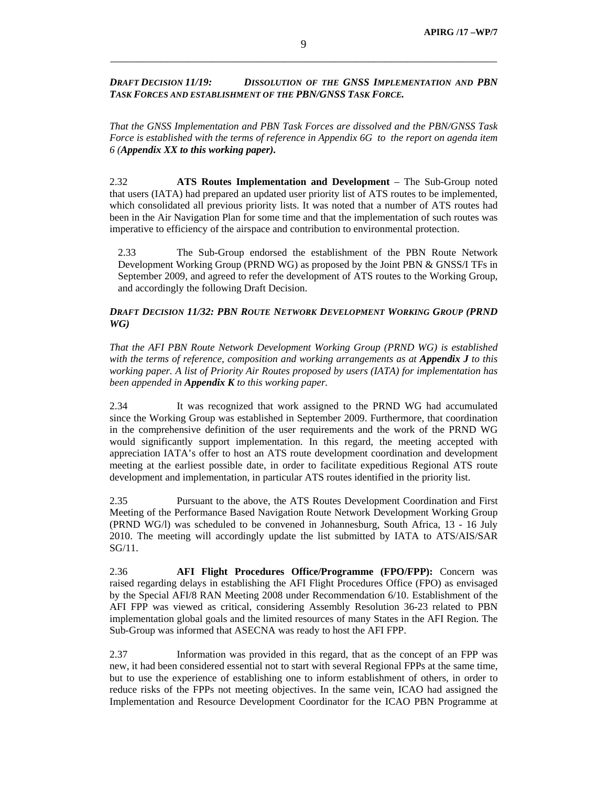## *DRAFT DECISION 11/19: DISSOLUTION OF THE GNSS IMPLEMENTATION AND PBN TASK FORCES AND ESTABLISHMENT OF THE PBN/GNSS TASK FORCE.*

*That the GNSS Implementation and PBN Task Forces are dissolved and the PBN/GNSS Task Force is established with the terms of reference in Appendix 6G to the report on agenda item 6 (Appendix XX to this working paper).*

2.32 **ATS Routes Implementation and Development** – The Sub-Group noted that users (IATA) had prepared an updated user priority list of ATS routes to be implemented, which consolidated all previous priority lists. It was noted that a number of ATS routes had been in the Air Navigation Plan for some time and that the implementation of such routes was imperative to efficiency of the airspace and contribution to environmental protection.

2.33 The Sub-Group endorsed the establishment of the PBN Route Network Development Working Group (PRND WG) as proposed by the Joint PBN & GNSS/I TFs in September 2009, and agreed to refer the development of ATS routes to the Working Group, and accordingly the following Draft Decision.

## *DRAFT DECISION 11/32: PBN ROUTE NETWORK DEVELOPMENT WORKING GROUP (PRND WG)*

*That the AFI PBN Route Network Development Working Group (PRND WG) is established with the terms of reference, composition and working arrangements as at Appendix J to this working paper. A list of Priority Air Routes proposed by users (IATA) for implementation has been appended in Appendix K to this working paper.* 

2.34 It was recognized that work assigned to the PRND WG had accumulated since the Working Group was established in September 2009. Furthermore, that coordination in the comprehensive definition of the user requirements and the work of the PRND WG would significantly support implementation. In this regard, the meeting accepted with appreciation IATA's offer to host an ATS route development coordination and development meeting at the earliest possible date, in order to facilitate expeditious Regional ATS route development and implementation, in particular ATS routes identified in the priority list.

2.35 Pursuant to the above, the ATS Routes Development Coordination and First Meeting of the Performance Based Navigation Route Network Development Working Group (PRND WG/l) was scheduled to be convened in Johannesburg, South Africa, 13 - 16 July 2010. The meeting will accordingly update the list submitted by IATA to ATS/AIS/SAR SG/11.

2.36 **AFI Flight Procedures Office/Programme (FPO/FPP):** Concern was raised regarding delays in establishing the AFI Flight Procedures Office (FPO) as envisaged by the Special AFI/8 RAN Meeting 2008 under Recommendation 6/10. Establishment of the AFI FPP was viewed as critical, considering Assembly Resolution 36-23 related to PBN implementation global goals and the limited resources of many States in the AFI Region. The Sub-Group was informed that ASECNA was ready to host the AFI FPP.

2.37 Information was provided in this regard, that as the concept of an FPP was new, it had been considered essential not to start with several Regional FPPs at the same time, but to use the experience of establishing one to inform establishment of others, in order to reduce risks of the FPPs not meeting objectives. In the same vein, ICAO had assigned the Implementation and Resource Development Coordinator for the ICAO PBN Programme at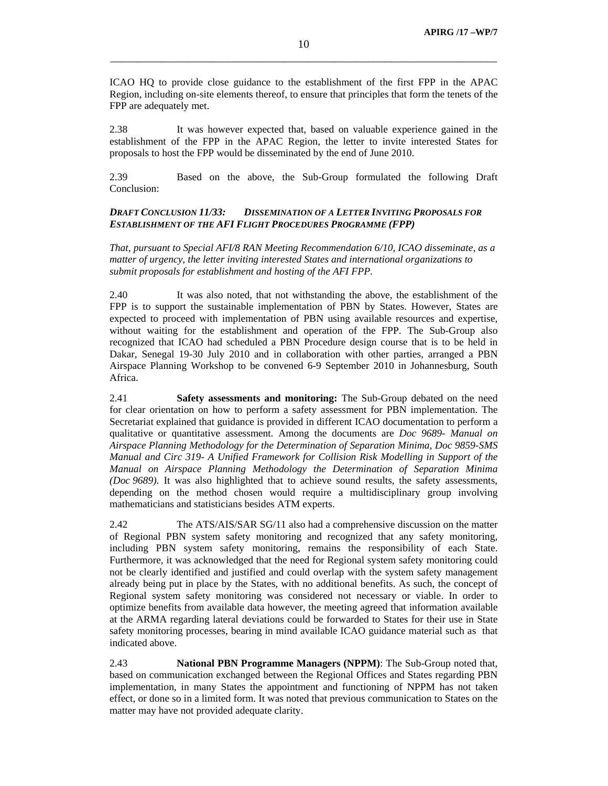ICAO HQ to provide close guidance to the establishment of the first FPP in the APAC Region, including on-site elements thereof, to ensure that principles that form the tenets of the FPP are adequately met.

2.38 It was however expected that, based on valuable experience gained in the establishment of the FPP in the APAC Region, the letter to invite interested States for proposals to host the FPP would be disseminated by the end of June 2010.

2.39 Based on the above, the Sub-Group formulated the following Draft Conclusion:

# *DRAFT CONCLUSION 11/33: DISSEMINATION OF A LETTER INVITING PROPOSALS FOR ESTABLISHMENT OF THE AFI FLIGHT PROCEDURES PROGRAMME (FPP)*

*That, pursuant to Special AFI/8 RAN Meeting Recommendation 6/10, ICAO disseminate, as a matter of urgency, the letter inviting interested States and international organizations to submit proposals for establishment and hosting of the AFI FPP.* 

2.40 It was also noted, that not withstanding the above, the establishment of the FPP is to support the sustainable implementation of PBN by States. However, States are expected to proceed with implementation of PBN using available resources and expertise, without waiting for the establishment and operation of the FPP. The Sub-Group also recognized that ICAO had scheduled a PBN Procedure design course that is to be held in Dakar, Senegal 19-30 July 2010 and in collaboration with other parties, arranged a PBN Airspace Planning Workshop to be convened 6-9 September 2010 in Johannesburg, South Africa.

2.41 **Safety assessments and monitoring:** The Sub-Group debated on the need for clear orientation on how to perform a safety assessment for PBN implementation. The Secretariat explained that guidance is provided in different ICAO documentation to perform a qualitative or quantitative assessment. Among the documents are *Doc 9689- Manual on Airspace Planning Methodology for the Determination of Separation Minima, Doc 9859-SMS Manual and Circ 319- A Unified Framework for Collision Risk Modelling in Support of the Manual on Airspace Planning Methodology the Determination of Separation Minima (Doc 9689).* It was also highlighted that to achieve sound results, the safety assessments, depending on the method chosen would require a multidisciplinary group involving mathematicians and statisticians besides ATM experts.

2.42 The ATS/AIS/SAR SG/11 also had a comprehensive discussion on the matter of Regional PBN system safety monitoring and recognized that any safety monitoring, including PBN system safety monitoring, remains the responsibility of each State. Furthermore, it was acknowledged that the need for Regional system safety monitoring could not be clearly identified and justified and could overlap with the system safety management already being put in place by the States, with no additional benefits. As such, the concept of Regional system safety monitoring was considered not necessary or viable. In order to optimize benefits from available data however, the meeting agreed that information available at the ARMA regarding lateral deviations could be forwarded to States for their use in State safety monitoring processes, bearing in mind available ICAO guidance material such as that indicated above.

2.43 **National PBN Programme Managers (NPPM)**: The Sub-Group noted that, based on communication exchanged between the Regional Offices and States regarding PBN implementation, in many States the appointment and functioning of NPPM has not taken effect, or done so in a limited form. It was noted that previous communication to States on the matter may have not provided adequate clarity.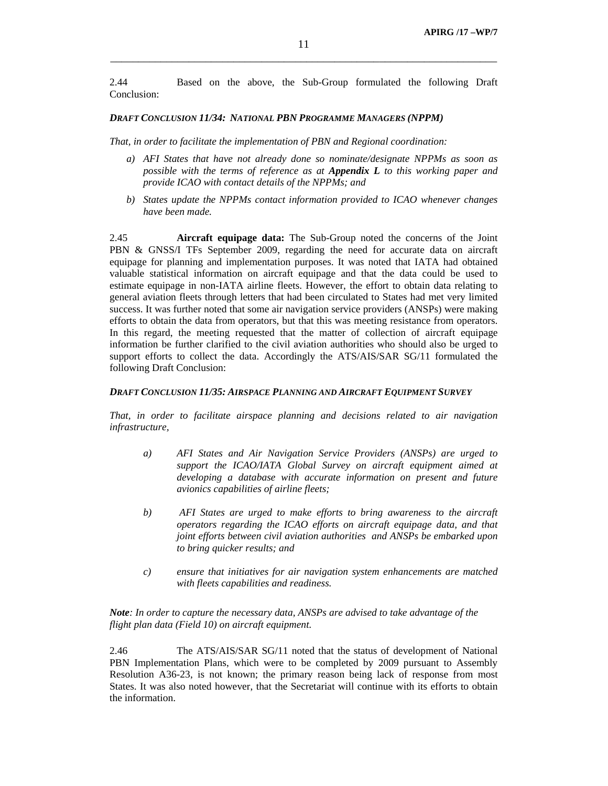2.44 Based on the above, the Sub-Group formulated the following Draft Conclusion:

#### *DRAFT CONCLUSION 11/34: NATIONAL PBN PROGRAMME MANAGERS (NPPM)*

*That, in order to facilitate the implementation of PBN and Regional coordination:* 

- *a) AFI States that have not already done so nominate/designate NPPMs as soon as possible with the terms of reference as at Appendix L to this working paper and provide ICAO with contact details of the NPPMs; and*
- *b) States update the NPPMs contact information provided to ICAO whenever changes have been made.*

2.45 **Aircraft equipage data:** The Sub-Group noted the concerns of the Joint PBN & GNSS/I TFs September 2009, regarding the need for accurate data on aircraft equipage for planning and implementation purposes. It was noted that IATA had obtained valuable statistical information on aircraft equipage and that the data could be used to estimate equipage in non-IATA airline fleets. However, the effort to obtain data relating to general aviation fleets through letters that had been circulated to States had met very limited success. It was further noted that some air navigation service providers (ANSPs) were making efforts to obtain the data from operators, but that this was meeting resistance from operators. In this regard, the meeting requested that the matter of collection of aircraft equipage information be further clarified to the civil aviation authorities who should also be urged to support efforts to collect the data. Accordingly the ATS/AIS/SAR SG/11 formulated the following Draft Conclusion:

# *DRAFT CONCLUSION 11/35: AIRSPACE PLANNING AND AIRCRAFT EQUIPMENT SURVEY*

*That, in order to facilitate airspace planning and decisions related to air navigation infrastructure,* 

- *a) AFI States and Air Navigation Service Providers (ANSPs) are urged to support the ICAO/IATA Global Survey on aircraft equipment aimed at developing a database with accurate information on present and future avionics capabilities of airline fleets;*
- *b) AFI States are urged to make efforts to bring awareness to the aircraft operators regarding the ICAO efforts on aircraft equipage data, and that joint efforts between civil aviation authorities and ANSPs be embarked upon to bring quicker results; and*
- *c) ensure that initiatives for air navigation system enhancements are matched with fleets capabilities and readiness.*

*Note: In order to capture the necessary data, ANSPs are advised to take advantage of the flight plan data (Field 10) on aircraft equipment.* 

2.46 The ATS/AIS/SAR SG/11 noted that the status of development of National PBN Implementation Plans, which were to be completed by 2009 pursuant to Assembly Resolution A36-23, is not known; the primary reason being lack of response from most States. It was also noted however, that the Secretariat will continue with its efforts to obtain the information.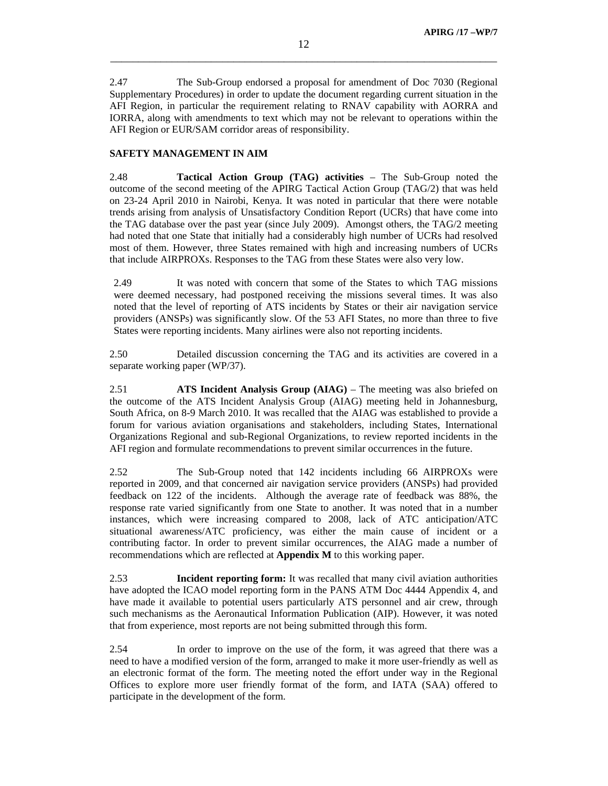2.47 The Sub-Group endorsed a proposal for amendment of Doc 7030 (Regional Supplementary Procedures) in order to update the document regarding current situation in the AFI Region, in particular the requirement relating to RNAV capability with AORRA and IORRA, along with amendments to text which may not be relevant to operations within the AFI Region or EUR/SAM corridor areas of responsibility.

# **SAFETY MANAGEMENT IN AIM**

2.48 **Tactical Action Group (TAG) activities** – The Sub-Group noted the outcome of the second meeting of the APIRG Tactical Action Group (TAG/2) that was held on 23-24 April 2010 in Nairobi, Kenya. It was noted in particular that there were notable trends arising from analysis of Unsatisfactory Condition Report (UCRs) that have come into the TAG database over the past year (since July 2009). Amongst others, the TAG/2 meeting had noted that one State that initially had a considerably high number of UCRs had resolved most of them. However, three States remained with high and increasing numbers of UCRs that include AIRPROXs. Responses to the TAG from these States were also very low.

2.49 It was noted with concern that some of the States to which TAG missions were deemed necessary, had postponed receiving the missions several times. It was also noted that the level of reporting of ATS incidents by States or their air navigation service providers (ANSPs) was significantly slow. Of the 53 AFI States, no more than three to five States were reporting incidents. Many airlines were also not reporting incidents.

2.50 Detailed discussion concerning the TAG and its activities are covered in a separate working paper (WP/37).

2.51 **ATS Incident Analysis Group (AIAG)** – The meeting was also briefed on the outcome of the ATS Incident Analysis Group (AIAG) meeting held in Johannesburg, South Africa, on 8-9 March 2010. It was recalled that the AIAG was established to provide a forum for various aviation organisations and stakeholders, including States, International Organizations Regional and sub-Regional Organizations, to review reported incidents in the AFI region and formulate recommendations to prevent similar occurrences in the future.

2.52 The Sub-Group noted that 142 incidents including 66 AIRPROXs were reported in 2009, and that concerned air navigation service providers (ANSPs) had provided feedback on 122 of the incidents. Although the average rate of feedback was 88%, the response rate varied significantly from one State to another. It was noted that in a number instances, which were increasing compared to 2008, lack of ATC anticipation/ATC situational awareness/ATC proficiency, was either the main cause of incident or a contributing factor. In order to prevent similar occurrences, the AIAG made a number of recommendations which are reflected at **Appendix M** to this working paper.

2.53 **Incident reporting form:** It was recalled that many civil aviation authorities have adopted the ICAO model reporting form in the PANS ATM Doc 4444 Appendix 4, and have made it available to potential users particularly ATS personnel and air crew, through such mechanisms as the Aeronautical Information Publication (AIP). However, it was noted that from experience, most reports are not being submitted through this form.

2.54 In order to improve on the use of the form, it was agreed that there was a need to have a modified version of the form, arranged to make it more user-friendly as well as an electronic format of the form. The meeting noted the effort under way in the Regional Offices to explore more user friendly format of the form, and IATA (SAA) offered to participate in the development of the form.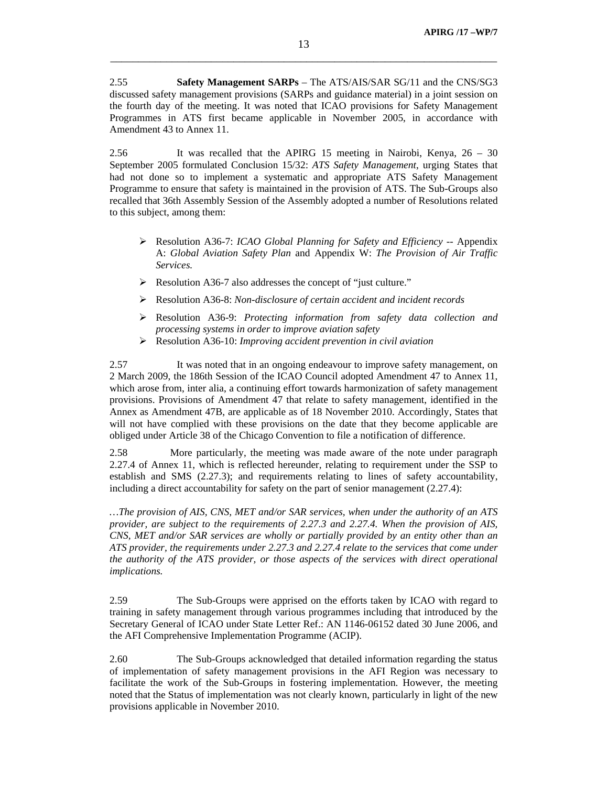2.55 **Safety Management SARPs** – The ATS/AIS/SAR SG/11 and the CNS/SG3 discussed safety management provisions (SARPs and guidance material) in a joint session on the fourth day of the meeting. It was noted that ICAO provisions for Safety Management Programmes in ATS first became applicable in November 2005, in accordance with Amendment 43 to Annex 11.

2.56 It was recalled that the APIRG 15 meeting in Nairobi, Kenya, 26 – 30 September 2005 formulated Conclusion 15/32: *ATS Safety Management*, urging States that had not done so to implement a systematic and appropriate ATS Safety Management Programme to ensure that safety is maintained in the provision of ATS. The Sub-Groups also recalled that 36th Assembly Session of the Assembly adopted a number of Resolutions related to this subject, among them:

- ¾ Resolution A36-7: *ICAO Global Planning for Safety and Efficiency --* Appendix A: *Global Aviation Safety Plan* and Appendix W: *The Provision of Air Traffic Services.*
- ¾ Resolution A36-7 also addresses the concept of "just culture."
- ¾ Resolution A36-8: *Non-disclosure of certain accident and incident records*
- ¾ Resolution A36-9: *Protecting information from safety data collection and processing systems in order to improve aviation safety*
- ¾ Resolution A36-10: *Improving accident prevention in civil aviation*

2.57 It was noted that in an ongoing endeavour to improve safety management, on 2 March 2009, the 186th Session of the ICAO Council adopted Amendment 47 to Annex 11, which arose from, inter alia, a continuing effort towards harmonization of safety management provisions. Provisions of Amendment 47 that relate to safety management, identified in the Annex as Amendment 47B, are applicable as of 18 November 2010. Accordingly, States that will not have complied with these provisions on the date that they become applicable are obliged under Article 38 of the Chicago Convention to file a notification of difference.

2.58 More particularly, the meeting was made aware of the note under paragraph 2.27.4 of Annex 11, which is reflected hereunder, relating to requirement under the SSP to establish and SMS (2.27.3); and requirements relating to lines of safety accountability, including a direct accountability for safety on the part of senior management (2.27.4):

*…The provision of AIS, CNS, MET and/or SAR services, when under the authority of an ATS provider, are subject to the requirements of 2.27.3 and 2.27.4. When the provision of AIS, CNS, MET and/or SAR services are wholly or partially provided by an entity other than an ATS provider, the requirements under 2.27.3 and 2.27.4 relate to the services that come under the authority of the ATS provider, or those aspects of the services with direct operational implications.*

2.59 The Sub-Groups were apprised on the efforts taken by ICAO with regard to training in safety management through various programmes including that introduced by the Secretary General of ICAO under State Letter Ref.: AN 1146-06152 dated 30 June 2006, and the AFI Comprehensive Implementation Programme (ACIP).

2.60 The Sub-Groups acknowledged that detailed information regarding the status of implementation of safety management provisions in the AFI Region was necessary to facilitate the work of the Sub-Groups in fostering implementation. However, the meeting noted that the Status of implementation was not clearly known, particularly in light of the new provisions applicable in November 2010.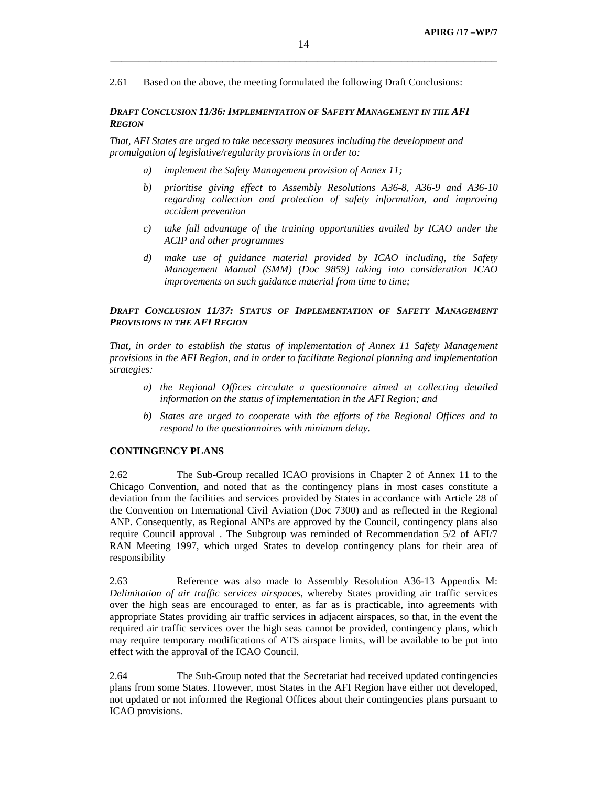2.61 Based on the above, the meeting formulated the following Draft Conclusions:

## *DRAFT CONCLUSION 11/36: IMPLEMENTATION OF SAFETY MANAGEMENT IN THE AFI REGION*

*That, AFI States are urged to take necessary measures including the development and promulgation of legislative/regularity provisions in order to:* 

- *a) implement the Safety Management provision of Annex 11;*
- *b) prioritise giving effect to Assembly Resolutions A36-8, A36-9 and A36-10 regarding collection and protection of safety information, and improving accident prevention*
- *c) take full advantage of the training opportunities availed by ICAO under the ACIP and other programmes*
- *d) make use of guidance material provided by ICAO including, the Safety Management Manual (SMM) (Doc 9859) taking into consideration ICAO improvements on such guidance material from time to time;*

# *DRAFT CONCLUSION 11/37: STATUS OF IMPLEMENTATION OF SAFETY MANAGEMENT PROVISIONS IN THE AFI REGION*

*That, in order to establish the status of implementation of Annex 11 Safety Management provisions in the AFI Region, and in order to facilitate Regional planning and implementation strategies:* 

- *a) the Regional Offices circulate a questionnaire aimed at collecting detailed information on the status of implementation in the AFI Region; and*
- *b) States are urged to cooperate with the efforts of the Regional Offices and to respond to the questionnaires with minimum delay.*

## **CONTINGENCY PLANS**

2.62 The Sub-Group recalled ICAO provisions in Chapter 2 of Annex 11 to the Chicago Convention, and noted that as the contingency plans in most cases constitute a deviation from the facilities and services provided by States in accordance with Article 28 of the Convention on International Civil Aviation (Doc 7300) and as reflected in the Regional ANP. Consequently, as Regional ANPs are approved by the Council, contingency plans also require Council approval . The Subgroup was reminded of Recommendation 5/2 of AFI/7 RAN Meeting 1997, which urged States to develop contingency plans for their area of responsibility

2.63 Reference was also made to Assembly Resolution A36-13 Appendix M: *Delimitation of air traffic services airspaces*, whereby States providing air traffic services over the high seas are encouraged to enter, as far as is practicable, into agreements with appropriate States providing air traffic services in adjacent airspaces, so that, in the event the required air traffic services over the high seas cannot be provided, contingency plans, which may require temporary modifications of ATS airspace limits, will be available to be put into effect with the approval of the ICAO Council.

2.64 The Sub-Group noted that the Secretariat had received updated contingencies plans from some States. However, most States in the AFI Region have either not developed, not updated or not informed the Regional Offices about their contingencies plans pursuant to ICAO provisions.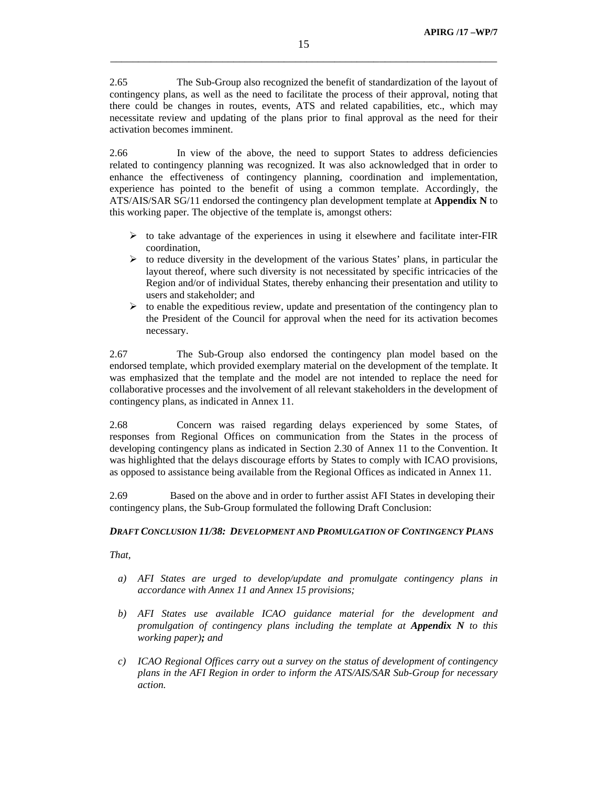2.65 The Sub-Group also recognized the benefit of standardization of the layout of contingency plans, as well as the need to facilitate the process of their approval, noting that there could be changes in routes, events, ATS and related capabilities, etc., which may necessitate review and updating of the plans prior to final approval as the need for their activation becomes imminent.

2.66 In view of the above, the need to support States to address deficiencies related to contingency planning was recognized. It was also acknowledged that in order to enhance the effectiveness of contingency planning, coordination and implementation, experience has pointed to the benefit of using a common template. Accordingly, the ATS/AIS/SAR SG/11 endorsed the contingency plan development template at **Appendix N** to this working paper. The objective of the template is, amongst others:

- $\triangleright$  to take advantage of the experiences in using it elsewhere and facilitate inter-FIR coordination,
- $\triangleright$  to reduce diversity in the development of the various States' plans, in particular the layout thereof, where such diversity is not necessitated by specific intricacies of the Region and/or of individual States, thereby enhancing their presentation and utility to users and stakeholder; and
- $\triangleright$  to enable the expeditious review, update and presentation of the contingency plan to the President of the Council for approval when the need for its activation becomes necessary.

2.67 The Sub-Group also endorsed the contingency plan model based on the endorsed template, which provided exemplary material on the development of the template. It was emphasized that the template and the model are not intended to replace the need for collaborative processes and the involvement of all relevant stakeholders in the development of contingency plans, as indicated in Annex 11.

2.68 Concern was raised regarding delays experienced by some States, of responses from Regional Offices on communication from the States in the process of developing contingency plans as indicated in Section 2.30 of Annex 11 to the Convention. It was highlighted that the delays discourage efforts by States to comply with ICAO provisions, as opposed to assistance being available from the Regional Offices as indicated in Annex 11.

2.69 Based on the above and in order to further assist AFI States in developing their contingency plans, the Sub-Group formulated the following Draft Conclusion:

### *DRAFT CONCLUSION 11/38: DEVELOPMENT AND PROMULGATION OF CONTINGENCY PLANS*

*That,* 

- *a) AFI States are urged to develop/update and promulgate contingency plans in accordance with Annex 11 and Annex 15 provisions;*
- *b) AFI States use available ICAO guidance material for the development and promulgation of contingency plans including the template at <i>Appendix N* to this *working paper); and*
- *c) ICAO Regional Offices carry out a survey on the status of development of contingency plans in the AFI Region in order to inform the ATS/AIS/SAR Sub-Group for necessary action.*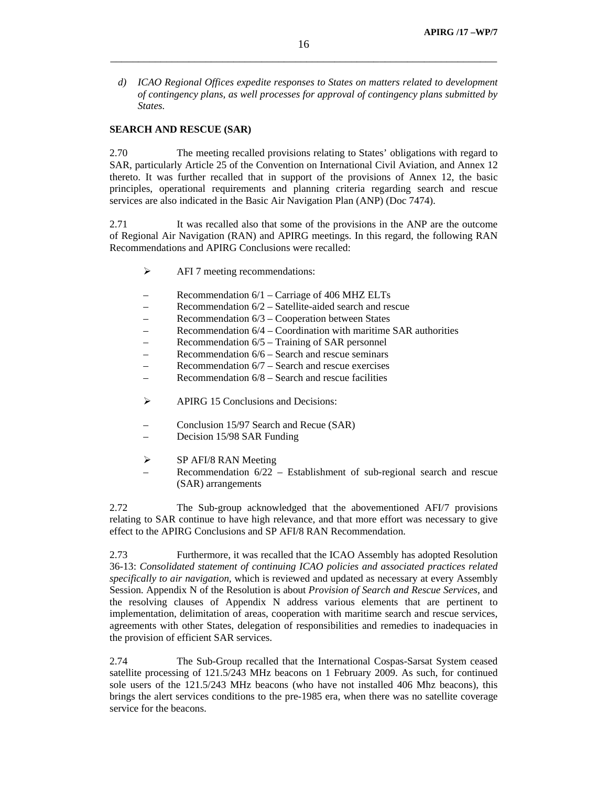*d) ICAO Regional Offices expedite responses to States on matters related to development of contingency plans, as well processes for approval of contingency plans submitted by States.* 

# **SEARCH AND RESCUE (SAR)**

2.70 The meeting recalled provisions relating to States' obligations with regard to SAR, particularly Article 25 of the Convention on International Civil Aviation, and Annex 12 thereto. It was further recalled that in support of the provisions of Annex 12, the basic principles, operational requirements and planning criteria regarding search and rescue services are also indicated in the Basic Air Navigation Plan (ANP) (Doc 7474).

2.71 It was recalled also that some of the provisions in the ANP are the outcome of Regional Air Navigation (RAN) and APIRG meetings. In this regard, the following RAN Recommendations and APIRG Conclusions were recalled:

- $\triangleright$  AFI 7 meeting recommendations:
- Recommendation 6/1 Carriage of 406 MHZ ELTs
- Recommendation 6/2 Satellite-aided search and rescue
- Recommendation 6/3 Cooperation between States
- Recommendation 6/4 Coordination with maritime SAR authorities
- Recommendation 6/5 Training of SAR personnel
- Recommendation 6/6 Search and rescue seminars
- Recommendation 6/7 Search and rescue exercises
- Recommendation 6/8 Search and rescue facilities
- $\triangleright$  APIRG 15 Conclusions and Decisions:
- Conclusion 15/97 Search and Recue (SAR)
- Decision 15/98 SAR Funding
- $\triangleright$  SP AFI/8 RAN Meeting
	- Recommendation 6/22 Establishment of sub-regional search and rescue (SAR) arrangements

2.72 The Sub-group acknowledged that the abovementioned AFI/7 provisions relating to SAR continue to have high relevance, and that more effort was necessary to give effect to the APIRG Conclusions and SP AFI/8 RAN Recommendation.

2.73 Furthermore, it was recalled that the ICAO Assembly has adopted Resolution 36-13: *Consolidated statement of continuing ICAO policies and associated practices related specifically to air navigation,* which is reviewed and updated as necessary at every Assembly Session. Appendix N of the Resolution is about *Provision of Search and Rescue Services*, and the resolving clauses of Appendix N address various elements that are pertinent to implementation, delimitation of areas, cooperation with maritime search and rescue services, agreements with other States, delegation of responsibilities and remedies to inadequacies in the provision of efficient SAR services.

2.74 The Sub-Group recalled that the International Cospas-Sarsat System ceased satellite processing of 121.5/243 MHz beacons on 1 February 2009. As such, for continued sole users of the 121.5/243 MHz beacons (who have not installed 406 Mhz beacons), this brings the alert services conditions to the pre-1985 era, when there was no satellite coverage service for the beacons.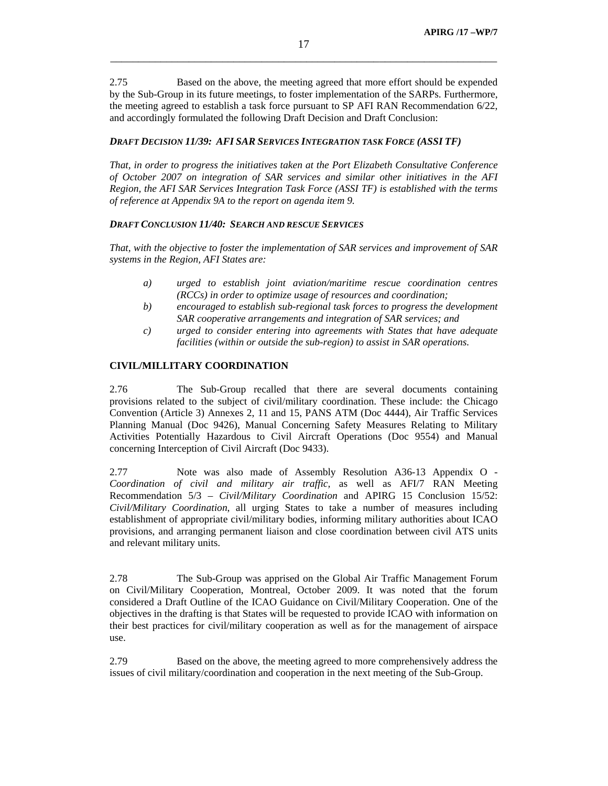2.75 Based on the above, the meeting agreed that more effort should be expended by the Sub-Group in its future meetings, to foster implementation of the SARPs. Furthermore, the meeting agreed to establish a task force pursuant to SP AFI RAN Recommendation 6/22, and accordingly formulated the following Draft Decision and Draft Conclusion:

## *DRAFT DECISION 11/39: AFI SAR SERVICES INTEGRATION TASK FORCE (ASSI TF)*

*That, in order to progress the initiatives taken at the Port Elizabeth Consultative Conference of October 2007 on integration of SAR services and similar other initiatives in the AFI Region, the AFI SAR Services Integration Task Force (ASSI TF) is established with the terms of reference at Appendix 9A to the report on agenda item 9.* 

# *DRAFT CONCLUSION 11/40: SEARCH AND RESCUE SERVICES*

*That, with the objective to foster the implementation of SAR services and improvement of SAR systems in the Region, AFI States are:* 

- *a) urged to establish joint aviation/maritime rescue coordination centres (RCCs) in order to optimize usage of resources and coordination;*
- *b) encouraged to establish sub-regional task forces to progress the development SAR cooperative arrangements and integration of SAR services; and*
- *c) urged to consider entering into agreements with States that have adequate facilities (within or outside the sub-region) to assist in SAR operations.*

# **CIVIL/MILLITARY COORDINATION**

2.76 The Sub-Group recalled that there are several documents containing provisions related to the subject of civil/military coordination. These include: the Chicago Convention (Article 3) Annexes 2, 11 and 15, PANS ATM (Doc 4444), Air Traffic Services Planning Manual (Doc 9426), Manual Concerning Safety Measures Relating to Military Activities Potentially Hazardous to Civil Aircraft Operations (Doc 9554) and Manual concerning Interception of Civil Aircraft (Doc 9433).

2.77 Note was also made of Assembly Resolution A36-13 Appendix O - *Coordination of civil and military air traffic,* as well as AFI/7 RAN Meeting Recommendation 5/3 – *Civil/Military Coordination* and APIRG 15 Conclusion 15/52: *Civil/Military Coordination*, all urging States to take a number of measures including establishment of appropriate civil/military bodies, informing military authorities about ICAO provisions, and arranging permanent liaison and close coordination between civil ATS units and relevant military units.

2.78 The Sub-Group was apprised on the Global Air Traffic Management Forum on Civil/Military Cooperation, Montreal, October 2009. It was noted that the forum considered a Draft Outline of the ICAO Guidance on Civil/Military Cooperation. One of the objectives in the drafting is that States will be requested to provide ICAO with information on their best practices for civil/military cooperation as well as for the management of airspace use.

2.79 Based on the above, the meeting agreed to more comprehensively address the issues of civil military/coordination and cooperation in the next meeting of the Sub-Group.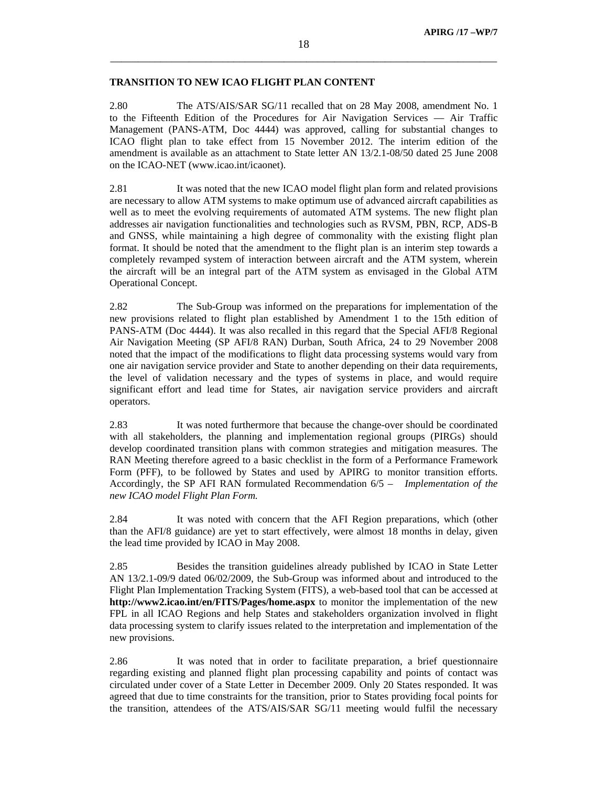# **TRANSITION TO NEW ICAO FLIGHT PLAN CONTENT**

2.80 The ATS/AIS/SAR SG/11 recalled that on 28 May 2008, amendment No. 1 to the Fifteenth Edition of the Procedures for Air Navigation Services — Air Traffic Management (PANS-ATM, Doc 4444) was approved, calling for substantial changes to ICAO flight plan to take effect from 15 November 2012. The interim edition of the amendment is available as an attachment to State letter AN 13/2.1-08/50 dated 25 June 2008 on the ICAO-NET (www.icao.int/icaonet).

2.81 It was noted that the new ICAO model flight plan form and related provisions are necessary to allow ATM systems to make optimum use of advanced aircraft capabilities as well as to meet the evolving requirements of automated ATM systems. The new flight plan addresses air navigation functionalities and technologies such as RVSM, PBN, RCP, ADS-B and GNSS, while maintaining a high degree of commonality with the existing flight plan format. It should be noted that the amendment to the flight plan is an interim step towards a completely revamped system of interaction between aircraft and the ATM system, wherein the aircraft will be an integral part of the ATM system as envisaged in the Global ATM Operational Concept.

2.82 The Sub-Group was informed on the preparations for implementation of the new provisions related to flight plan established by Amendment 1 to the 15th edition of PANS-ATM (Doc 4444). It was also recalled in this regard that the Special AFI/8 Regional Air Navigation Meeting (SP AFI/8 RAN) Durban, South Africa, 24 to 29 November 2008 noted that the impact of the modifications to flight data processing systems would vary from one air navigation service provider and State to another depending on their data requirements, the level of validation necessary and the types of systems in place, and would require significant effort and lead time for States, air navigation service providers and aircraft operators.

2.83 It was noted furthermore that because the change-over should be coordinated with all stakeholders, the planning and implementation regional groups (PIRGs) should develop coordinated transition plans with common strategies and mitigation measures. The RAN Meeting therefore agreed to a basic checklist in the form of a Performance Framework Form (PFF), to be followed by States and used by APIRG to monitor transition efforts. Accordingly, the SP AFI RAN formulated Recommendation 6/5 – *Implementation of the new ICAO model Flight Plan Form.*

2.84 It was noted with concern that the AFI Region preparations, which (other than the AFI/8 guidance) are yet to start effectively, were almost 18 months in delay, given the lead time provided by ICAO in May 2008.

2.85 Besides the transition guidelines already published by ICAO in State Letter AN 13/2.1-09/9 dated 06/02/2009, the Sub-Group was informed about and introduced to the Flight Plan Implementation Tracking System (FITS), a web-based tool that can be accessed at **http://www2.icao.int/en/FITS/Pages/home.aspx** to monitor the implementation of the new FPL in all ICAO Regions and help States and stakeholders organization involved in flight data processing system to clarify issues related to the interpretation and implementation of the new provisions.

2.86 It was noted that in order to facilitate preparation, a brief questionnaire regarding existing and planned flight plan processing capability and points of contact was circulated under cover of a State Letter in December 2009. Only 20 States responded. It was agreed that due to time constraints for the transition, prior to States providing focal points for the transition, attendees of the ATS/AIS/SAR SG/11 meeting would fulfil the necessary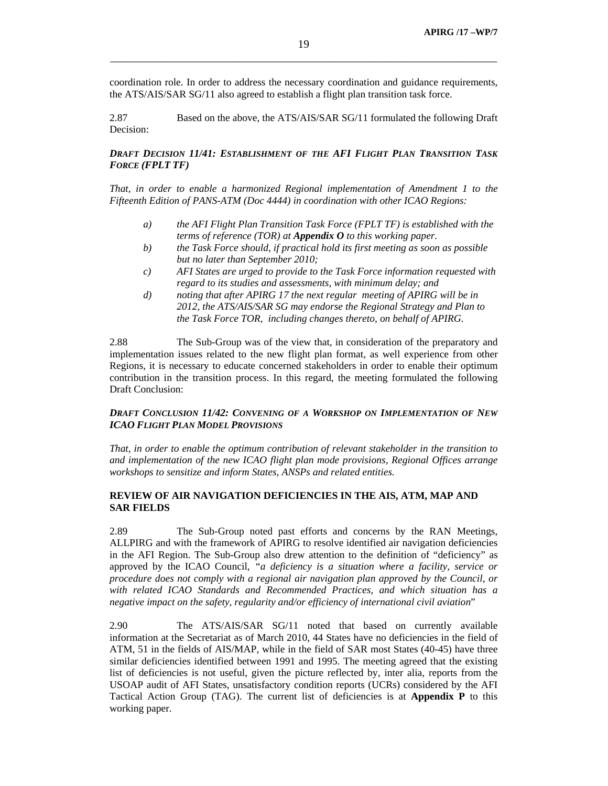coordination role. In order to address the necessary coordination and guidance requirements, the ATS/AIS/SAR SG/11 also agreed to establish a flight plan transition task force.

2.87 Based on the above, the ATS/AIS/SAR SG/11 formulated the following Draft Decision:

# *DRAFT DECISION 11/41: ESTABLISHMENT OF THE AFI FLIGHT PLAN TRANSITION TASK FORCE (FPLT TF)*

*That, in order to enable a harmonized Regional implementation of Amendment 1 to the Fifteenth Edition of PANS-ATM (Doc 4444) in coordination with other ICAO Regions:* 

- *a) the AFI Flight Plan Transition Task Force (FPLT TF) is established with the terms of reference (TOR) at Appendix O to this working paper.*
- *b) the Task Force should, if practical hold its first meeting as soon as possible but no later than September 2010;*
- *c) AFI States are urged to provide to the Task Force information requested with regard to its studies and assessments, with minimum delay; and*
- *d) noting that after APIRG 17 the next regular meeting of APIRG will be in 2012, the ATS/AIS/SAR SG may endorse the Regional Strategy and Plan to the Task Force TOR, including changes thereto, on behalf of APIRG.*

2.88 The Sub-Group was of the view that, in consideration of the preparatory and implementation issues related to the new flight plan format, as well experience from other Regions, it is necessary to educate concerned stakeholders in order to enable their optimum contribution in the transition process. In this regard, the meeting formulated the following Draft Conclusion:

## *DRAFT CONCLUSION 11/42: CONVENING OF A WORKSHOP ON IMPLEMENTATION OF NEW ICAO FLIGHT PLAN MODEL PROVISIONS*

*That, in order to enable the optimum contribution of relevant stakeholder in the transition to and implementation of the new ICAO flight plan mode provisions, Regional Offices arrange workshops to sensitize and inform States, ANSPs and related entities.* 

# **REVIEW OF AIR NAVIGATION DEFICIENCIES IN THE AIS, ATM, MAP AND SAR FIELDS**

2.89 The Sub-Group noted past efforts and concerns by the RAN Meetings, ALLPIRG and with the framework of APIRG to resolve identified air navigation deficiencies in the AFI Region. The Sub-Group also drew attention to the definition of "deficiency" as approved by the ICAO Council, *"a deficiency is a situation where a facility, service or procedure does not comply with a regional air navigation plan approved by the Council, or with related ICAO Standards and Recommended Practices, and which situation has a negative impact on the safety, regularity and/or efficiency of international civil aviation*"

2.90 The ATS/AIS/SAR SG/11 noted that based on currently available information at the Secretariat as of March 2010, 44 States have no deficiencies in the field of ATM, 51 in the fields of AIS/MAP, while in the field of SAR most States (40-45) have three similar deficiencies identified between 1991 and 1995. The meeting agreed that the existing list of deficiencies is not useful, given the picture reflected by, inter alia, reports from the USOAP audit of AFI States, unsatisfactory condition reports (UCRs) considered by the AFI Tactical Action Group (TAG). The current list of deficiencies is at **Appendix P** to this working paper.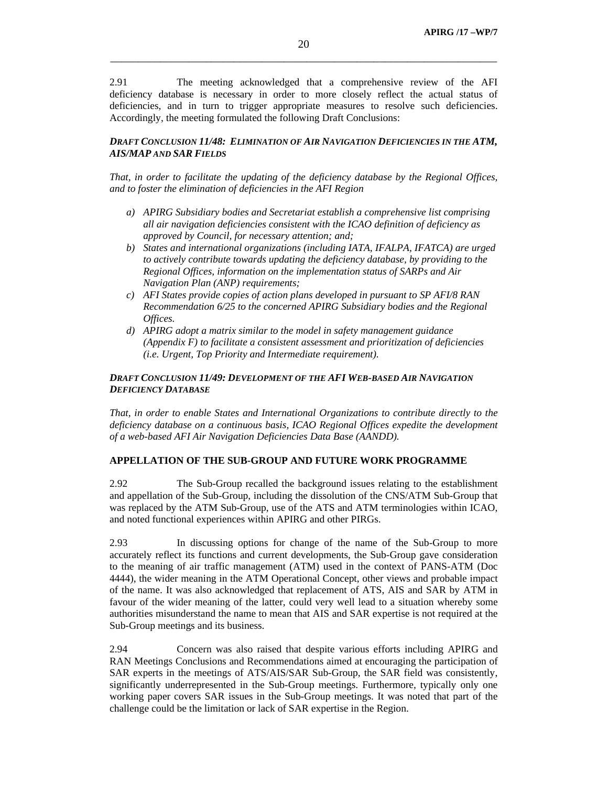2.91 The meeting acknowledged that a comprehensive review of the AFI deficiency database is necessary in order to more closely reflect the actual status of deficiencies, and in turn to trigger appropriate measures to resolve such deficiencies. Accordingly, the meeting formulated the following Draft Conclusions:

# *DRAFT CONCLUSION 11/48: ELIMINATION OF AIR NAVIGATION DEFICIENCIES IN THE ATM, AIS/MAP AND SAR FIELDS*

*That, in order to facilitate the updating of the deficiency database by the Regional Offices, and to foster the elimination of deficiencies in the AFI Region* 

- *a) APIRG Subsidiary bodies and Secretariat establish a comprehensive list comprising all air navigation deficiencies consistent with the ICAO definition of deficiency as approved by Council, for necessary attention; and;*
- *b) States and international organizations (including IATA, IFALPA, IFATCA) are urged to actively contribute towards updating the deficiency database, by providing to the Regional Offices, information on the implementation status of SARPs and Air Navigation Plan (ANP) requirements;*
- *c) AFI States provide copies of action plans developed in pursuant to SP AFI/8 RAN Recommendation 6/25 to the concerned APIRG Subsidiary bodies and the Regional Offices.*
- *d) APIRG adopt a matrix similar to the model in safety management guidance (Appendix F) to facilitate a consistent assessment and prioritization of deficiencies (i.e. Urgent, Top Priority and Intermediate requirement).*

## *DRAFT CONCLUSION 11/49: DEVELOPMENT OF THE AFI WEB-BASED AIR NAVIGATION DEFICIENCY DATABASE*

*That, in order to enable States and International Organizations to contribute directly to the deficiency database on a continuous basis, ICAO Regional Offices expedite the development of a web-based AFI Air Navigation Deficiencies Data Base (AANDD).* 

# **APPELLATION OF THE SUB-GROUP AND FUTURE WORK PROGRAMME**

2.92 The Sub-Group recalled the background issues relating to the establishment and appellation of the Sub-Group, including the dissolution of the CNS/ATM Sub-Group that was replaced by the ATM Sub-Group, use of the ATS and ATM terminologies within ICAO, and noted functional experiences within APIRG and other PIRGs.

2.93 In discussing options for change of the name of the Sub-Group to more accurately reflect its functions and current developments, the Sub-Group gave consideration to the meaning of air traffic management (ATM) used in the context of PANS-ATM (Doc 4444), the wider meaning in the ATM Operational Concept, other views and probable impact of the name. It was also acknowledged that replacement of ATS, AIS and SAR by ATM in favour of the wider meaning of the latter, could very well lead to a situation whereby some authorities misunderstand the name to mean that AIS and SAR expertise is not required at the Sub-Group meetings and its business.

2.94 Concern was also raised that despite various efforts including APIRG and RAN Meetings Conclusions and Recommendations aimed at encouraging the participation of SAR experts in the meetings of ATS/AIS/SAR Sub-Group, the SAR field was consistently, significantly underrepresented in the Sub-Group meetings. Furthermore, typically only one working paper covers SAR issues in the Sub-Group meetings. It was noted that part of the challenge could be the limitation or lack of SAR expertise in the Region.